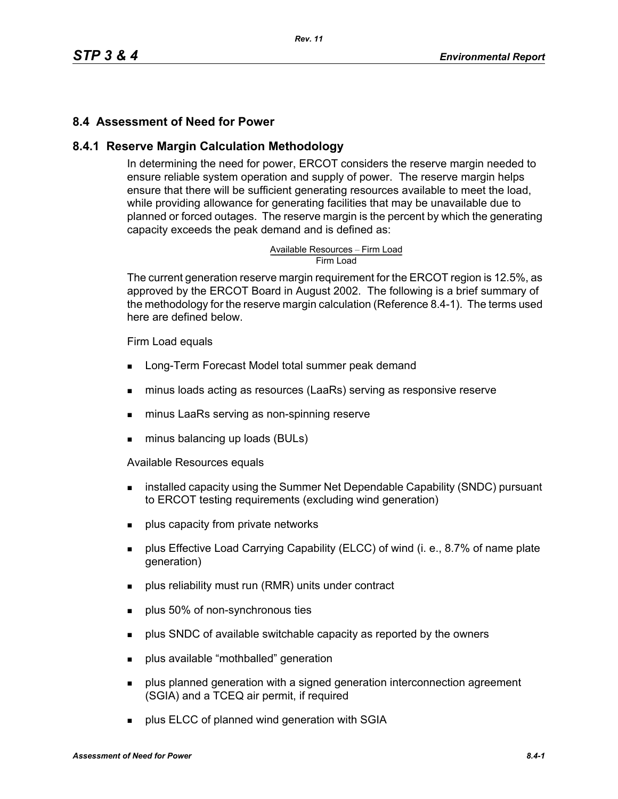# **8.4 Assessment of Need for Power**

### **8.4.1 Reserve Margin Calculation Methodology**

In determining the need for power, ERCOT considers the reserve margin needed to ensure reliable system operation and supply of power. The reserve margin helps ensure that there will be sufficient generating resources available to meet the load, while providing allowance for generating facilities that may be unavailable due to planned or forced outages. The reserve margin is the percent by which the generating capacity exceeds the peak demand and is defined as:

# Available Resources – Firm Load<br>Firm Load

The current generation reserve margin requirement for the ERCOT region is 12.5%, as approved by the ERCOT Board in August 2002. The following is a brief summary of the methodology for the reserve margin calculation (Reference 8.4-1). The terms used here are defined below.

#### Firm Load equals

- **Long-Term Forecast Model total summer peak demand**
- minus loads acting as resources (LaaRs) serving as responsive reserve
- minus LaaRs serving as non-spinning reserve
- minus balancing up loads (BULs)

Available Resources equals

- **EXECT** installed capacity using the Summer Net Dependable Capability (SNDC) pursuant to ERCOT testing requirements (excluding wind generation)
- **plus capacity from private networks**
- **Plus Effective Load Carrying Capability (ELCC) of wind (i. e., 8.7% of name plate** generation)
- **Produce reliability must run (RMR) units under contract**
- **plus 50% of non-synchronous ties**
- **Propelled SNDC** of available switchable capacity as reported by the owners
- **plus available "mothballed" generation**
- **Proplus planned generation with a signed generation interconnection agreement** (SGIA) and a TCEQ air permit, if required
- **plus ELCC of planned wind generation with SGIA**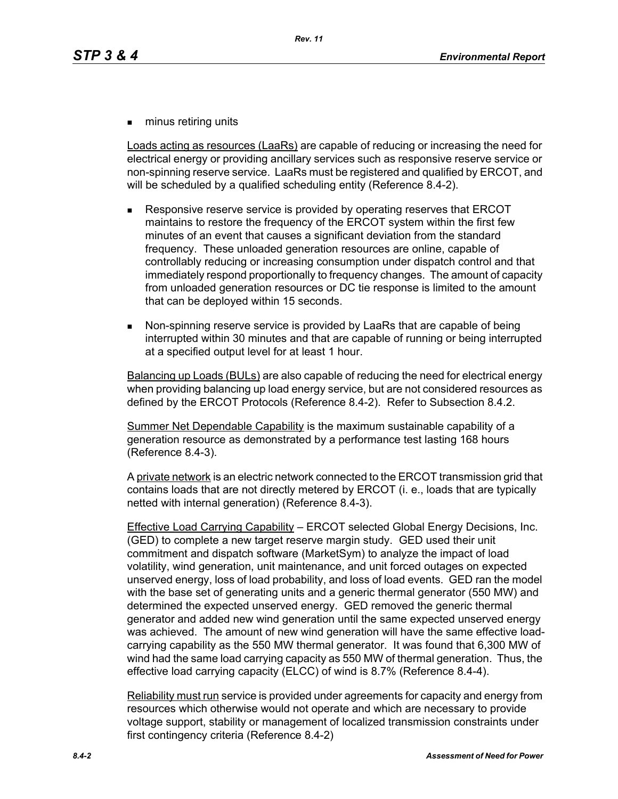**numinus retiring units** 

Loads acting as resources (LaaRs) are capable of reducing or increasing the need for electrical energy or providing ancillary services such as responsive reserve service or non-spinning reserve service. LaaRs must be registered and qualified by ERCOT, and will be scheduled by a qualified scheduling entity (Reference 8.4-2).

- Responsive reserve service is provided by operating reserves that ERCOT maintains to restore the frequency of the ERCOT system within the first few minutes of an event that causes a significant deviation from the standard frequency. These unloaded generation resources are online, capable of controllably reducing or increasing consumption under dispatch control and that immediately respond proportionally to frequency changes. The amount of capacity from unloaded generation resources or DC tie response is limited to the amount that can be deployed within 15 seconds.
- Non-spinning reserve service is provided by LaaRs that are capable of being interrupted within 30 minutes and that are capable of running or being interrupted at a specified output level for at least 1 hour.

Balancing up Loads (BULs) are also capable of reducing the need for electrical energy when providing balancing up load energy service, but are not considered resources as defined by the ERCOT Protocols (Reference 8.4-2). Refer to Subsection 8.4.2.

Summer Net Dependable Capability is the maximum sustainable capability of a generation resource as demonstrated by a performance test lasting 168 hours (Reference 8.4-3).

A private network is an electric network connected to the ERCOT transmission grid that contains loads that are not directly metered by ERCOT (i. e., loads that are typically netted with internal generation) (Reference 8.4-3).

Effective Load Carrying Capability – ERCOT selected Global Energy Decisions, Inc. (GED) to complete a new target reserve margin study. GED used their unit commitment and dispatch software (MarketSym) to analyze the impact of load volatility, wind generation, unit maintenance, and unit forced outages on expected unserved energy, loss of load probability, and loss of load events. GED ran the model with the base set of generating units and a generic thermal generator (550 MW) and determined the expected unserved energy. GED removed the generic thermal generator and added new wind generation until the same expected unserved energy was achieved. The amount of new wind generation will have the same effective loadcarrying capability as the 550 MW thermal generator. It was found that 6,300 MW of wind had the same load carrying capacity as 550 MW of thermal generation. Thus, the effective load carrying capacity (ELCC) of wind is 8.7% (Reference 8.4-4).

Reliability must run service is provided under agreements for capacity and energy from resources which otherwise would not operate and which are necessary to provide voltage support, stability or management of localized transmission constraints under first contingency criteria (Reference 8.4-2)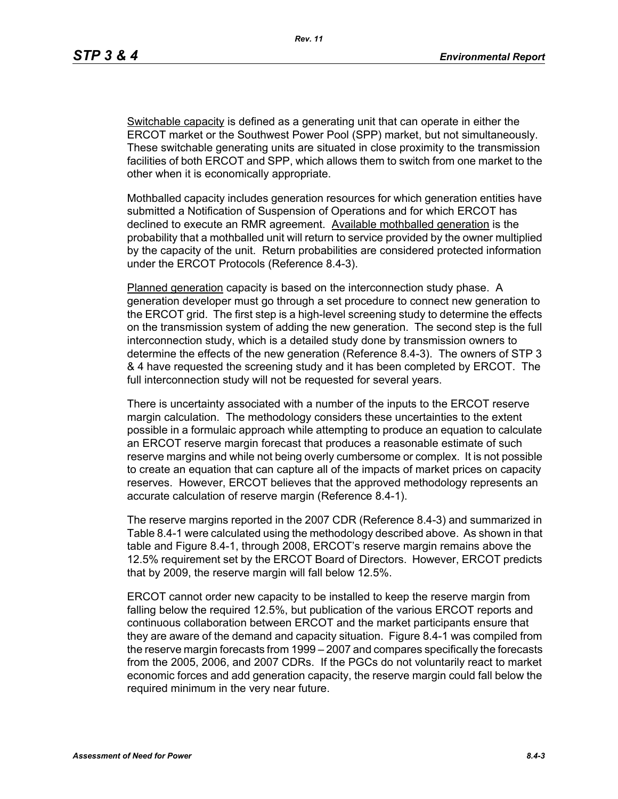Switchable capacity is defined as a generating unit that can operate in either the ERCOT market or the Southwest Power Pool (SPP) market, but not simultaneously. These switchable generating units are situated in close proximity to the transmission facilities of both ERCOT and SPP, which allows them to switch from one market to the other when it is economically appropriate.

Mothballed capacity includes generation resources for which generation entities have submitted a Notification of Suspension of Operations and for which ERCOT has declined to execute an RMR agreement. Available mothballed generation is the probability that a mothballed unit will return to service provided by the owner multiplied by the capacity of the unit. Return probabilities are considered protected information under the ERCOT Protocols (Reference 8.4-3).

Planned generation capacity is based on the interconnection study phase. A generation developer must go through a set procedure to connect new generation to the ERCOT grid. The first step is a high-level screening study to determine the effects on the transmission system of adding the new generation. The second step is the full interconnection study, which is a detailed study done by transmission owners to determine the effects of the new generation (Reference 8.4-3). The owners of STP 3 & 4 have requested the screening study and it has been completed by ERCOT. The full interconnection study will not be requested for several years.

There is uncertainty associated with a number of the inputs to the ERCOT reserve margin calculation. The methodology considers these uncertainties to the extent possible in a formulaic approach while attempting to produce an equation to calculate an ERCOT reserve margin forecast that produces a reasonable estimate of such reserve margins and while not being overly cumbersome or complex. It is not possible to create an equation that can capture all of the impacts of market prices on capacity reserves. However, ERCOT believes that the approved methodology represents an accurate calculation of reserve margin (Reference 8.4-1).

The reserve margins reported in the 2007 CDR (Reference 8.4-3) and summarized in Table 8.4-1 were calculated using the methodology described above. As shown in that table and Figure 8.4-1, through 2008, ERCOT's reserve margin remains above the 12.5% requirement set by the ERCOT Board of Directors. However, ERCOT predicts that by 2009, the reserve margin will fall below 12.5%.

ERCOT cannot order new capacity to be installed to keep the reserve margin from falling below the required 12.5%, but publication of the various ERCOT reports and continuous collaboration between ERCOT and the market participants ensure that they are aware of the demand and capacity situation. Figure 8.4-1 was compiled from the reserve margin forecasts from 1999 – 2007 and compares specifically the forecasts from the 2005, 2006, and 2007 CDRs. If the PGCs do not voluntarily react to market economic forces and add generation capacity, the reserve margin could fall below the required minimum in the very near future.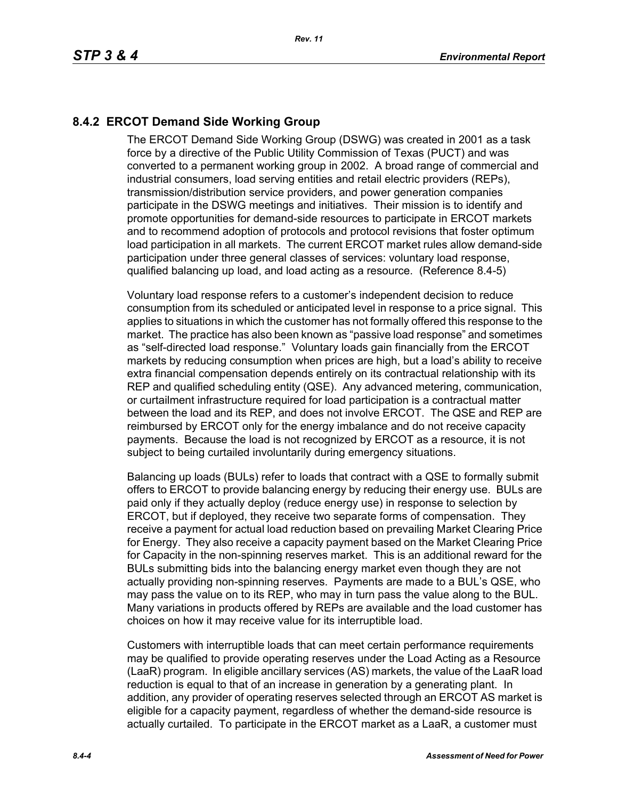# **8.4.2 ERCOT Demand Side Working Group**

The ERCOT Demand Side Working Group (DSWG) was created in 2001 as a task force by a directive of the Public Utility Commission of Texas (PUCT) and was converted to a permanent working group in 2002. A broad range of commercial and industrial consumers, load serving entities and retail electric providers (REPs), transmission/distribution service providers, and power generation companies participate in the DSWG meetings and initiatives. Their mission is to identify and promote opportunities for demand-side resources to participate in ERCOT markets and to recommend adoption of protocols and protocol revisions that foster optimum load participation in all markets. The current ERCOT market rules allow demand-side participation under three general classes of services: voluntary load response, qualified balancing up load, and load acting as a resource. (Reference 8.4-5)

Voluntary load response refers to a customer's independent decision to reduce consumption from its scheduled or anticipated level in response to a price signal. This applies to situations in which the customer has not formally offered this response to the market. The practice has also been known as "passive load response" and sometimes as "self-directed load response." Voluntary loads gain financially from the ERCOT markets by reducing consumption when prices are high, but a load's ability to receive extra financial compensation depends entirely on its contractual relationship with its REP and qualified scheduling entity (QSE). Any advanced metering, communication, or curtailment infrastructure required for load participation is a contractual matter between the load and its REP, and does not involve ERCOT. The QSE and REP are reimbursed by ERCOT only for the energy imbalance and do not receive capacity payments. Because the load is not recognized by ERCOT as a resource, it is not subject to being curtailed involuntarily during emergency situations.

Balancing up loads (BULs) refer to loads that contract with a QSE to formally submit offers to ERCOT to provide balancing energy by reducing their energy use. BULs are paid only if they actually deploy (reduce energy use) in response to selection by ERCOT, but if deployed, they receive two separate forms of compensation. They receive a payment for actual load reduction based on prevailing Market Clearing Price for Energy. They also receive a capacity payment based on the Market Clearing Price for Capacity in the non-spinning reserves market. This is an additional reward for the BULs submitting bids into the balancing energy market even though they are not actually providing non-spinning reserves. Payments are made to a BUL's QSE, who may pass the value on to its REP, who may in turn pass the value along to the BUL. Many variations in products offered by REPs are available and the load customer has choices on how it may receive value for its interruptible load.

Customers with interruptible loads that can meet certain performance requirements may be qualified to provide operating reserves under the Load Acting as a Resource (LaaR) program. In eligible ancillary services (AS) markets, the value of the LaaR load reduction is equal to that of an increase in generation by a generating plant. In addition, any provider of operating reserves selected through an ERCOT AS market is eligible for a capacity payment, regardless of whether the demand-side resource is actually curtailed. To participate in the ERCOT market as a LaaR, a customer must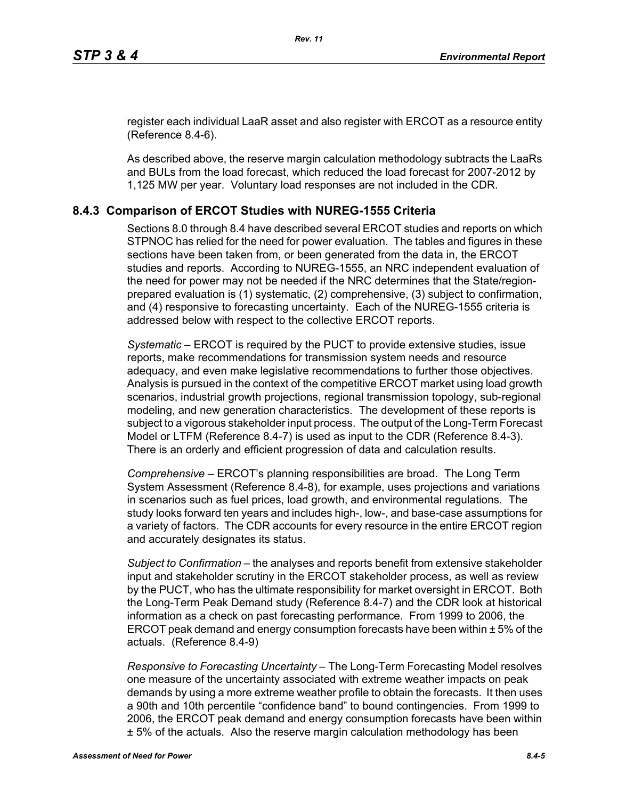[register each individual LaaR asset and also register with ERCOT as a resource entity](http://www.ercot.com/services/rq/re/index.html)  (Reference 8.4-6).

As described above, the reserve margin calculation methodology subtracts the LaaRs and BULs from the load forecast, which reduced the load forecast for 2007-2012 by 1,125 MW per year. Voluntary load responses are not included in the CDR.

# **8.4.3 Comparison of ERCOT Studies with NUREG-1555 Criteria**

Sections 8.0 through 8.4 have described several ERCOT studies and reports on which STPNOC has relied for the need for power evaluation. The tables and figures in these sections have been taken from, or been generated from the data in, the ERCOT studies and reports. According to NUREG-1555, an NRC independent evaluation of the need for power may not be needed if the NRC determines that the State/regionprepared evaluation is (1) systematic, (2) comprehensive, (3) subject to confirmation, and (4) responsive to forecasting uncertainty. Each of the NUREG-1555 criteria is addressed below with respect to the collective ERCOT reports.

*Systematic* – ERCOT is required by the PUCT to provide extensive studies, issue reports, make recommendations for transmission system needs and resource adequacy, and even make legislative recommendations to further those objectives. Analysis is pursued in the context of the competitive ERCOT market using load growth scenarios, industrial growth projections, regional transmission topology, sub-regional modeling, and new generation characteristics. The development of these reports is subject to a vigorous stakeholder input process. The output of the Long-Term Forecast Model or LTFM (Reference 8.4-7) is used as input to the CDR (Reference 8.4-3). There is an orderly and efficient progression of data and calculation results.

*Comprehensive* – ERCOT's planning responsibilities are broad. The Long Term System Assessment (Reference 8.4-8), for example, uses projections and variations in scenarios such as fuel prices, load growth, and environmental regulations. The study looks forward ten years and includes high-, low-, and base-case assumptions for a variety of factors. The CDR accounts for every resource in the entire ERCOT region and accurately designates its status.

*Subject to Confirmation* – the analyses and reports benefit from extensive stakeholder input and stakeholder scrutiny in the ERCOT stakeholder process, as well as review by the PUCT, who has the ultimate responsibility for market oversight in ERCOT. Both the Long-Term Peak Demand study (Reference 8.4-7) and the CDR look at historical information as a check on past forecasting performance. From 1999 to 2006, the ERCOT peak demand and energy consumption forecasts have been within ± 5% of the actuals. (Reference 8.4-9)

*Responsive to Forecasting Uncertainty* – The Long-Term Forecasting Model resolves one measure of the uncertainty associated with extreme weather impacts on peak demands by using a more extreme weather profile to obtain the forecasts. It then uses a 90th and 10th percentile "confidence band" to bound contingencies. From 1999 to 2006, the ERCOT peak demand and energy consumption forecasts have been within ± 5% of the actuals. Also the reserve margin calculation methodology has been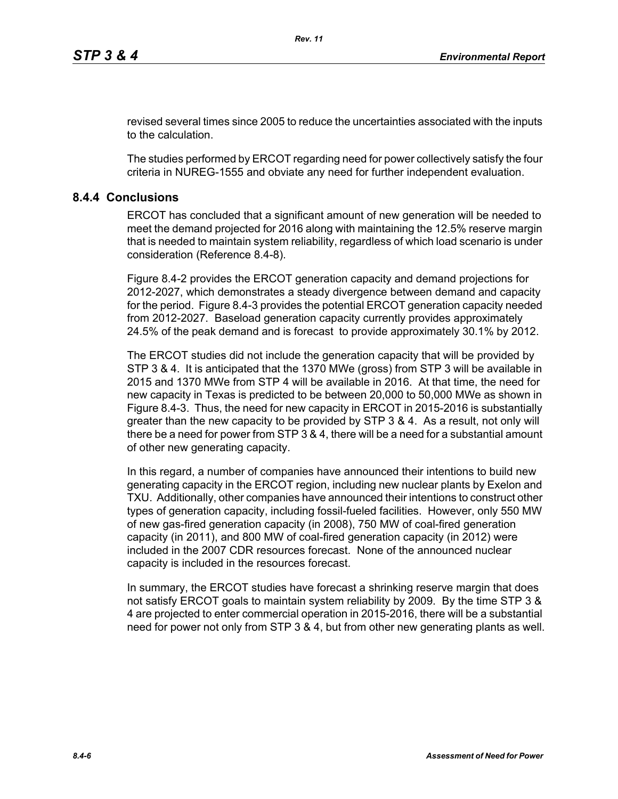revised several times since 2005 to reduce the uncertainties associated with the inputs to the calculation.

The studies performed by ERCOT regarding need for power collectively satisfy the four criteria in NUREG-1555 and obviate any need for further independent evaluation.

## **8.4.4 Conclusions**

ERCOT has concluded that a significant amount of new generation will be needed to meet the demand projected for 2016 along with maintaining the 12.5% reserve margin that is needed to maintain system reliability, regardless of which load scenario is under consideration (Reference 8.4-8).

Figure 8.4-2 provides the ERCOT generation capacity and demand projections for 2012-2027, which demonstrates a steady divergence between demand and capacity for the period. Figure 8.4-3 provides the potential ERCOT generation capacity needed from 2012-2027. Baseload generation capacity currently provides approximately 24.5% of the peak demand and is forecast to provide approximately 30.1% by 2012.

The ERCOT studies did not include the generation capacity that will be provided by STP 3 & 4. It is anticipated that the 1370 MWe (gross) from STP 3 will be available in 2015 and 1370 MWe from STP 4 will be available in 2016. At that time, the need for new capacity in Texas is predicted to be between 20,000 to 50,000 MWe as shown in Figure 8.4-3. Thus, the need for new capacity in ERCOT in 2015-2016 is substantially greater than the new capacity to be provided by STP 3 & 4. As a result, not only will there be a need for power from STP 3 & 4, there will be a need for a substantial amount of other new generating capacity.

In this regard, a number of companies have announced their intentions to build new generating capacity in the ERCOT region, including new nuclear plants by Exelon and TXU. Additionally, other companies have announced their intentions to construct other types of generation capacity, including fossil-fueled facilities. However, only 550 MW of new gas-fired generation capacity (in 2008), 750 MW of coal-fired generation capacity (in 2011), and 800 MW of coal-fired generation capacity (in 2012) were included in the 2007 CDR resources forecast. None of the announced nuclear capacity is included in the resources forecast.

In summary, the ERCOT studies have forecast a shrinking reserve margin that does not satisfy ERCOT goals to maintain system reliability by 2009. By the time STP 3 & 4 are projected to enter commercial operation in 2015-2016, there will be a substantial need for power not only from STP 3 & 4, but from other new generating plants as well.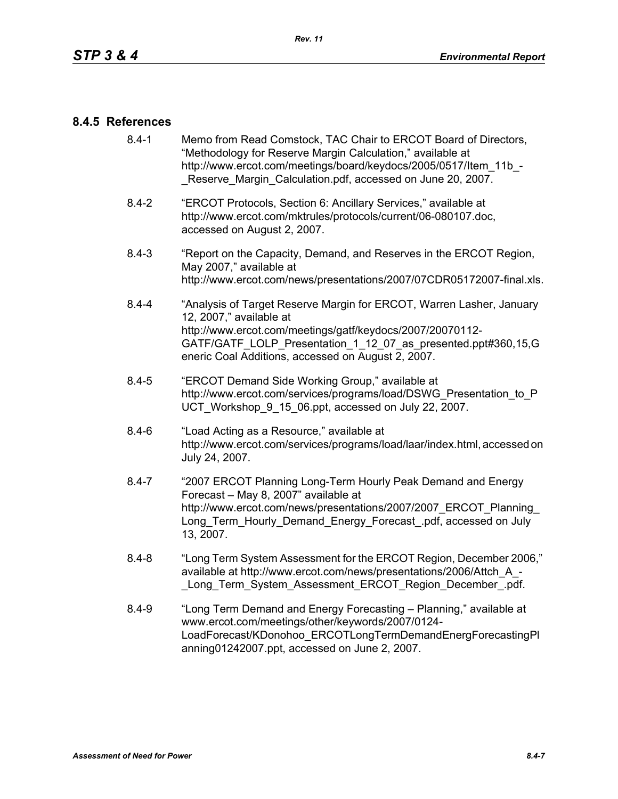### **8.4.5 References**

- [8.4-1 Memo from Read Comstock, TAC Chair to ERCOT Board of Directors,](http://www.ercot.com/meetings/board/keydocs/2005/0517/Item_11b_-_Reserve_Margin_Calculation.pdf)  "Methodology for Reserve Margin Calculation," available at http://www.ercot.com/meetings/board/keydocs/2005/0517/Item\_11b\_-Reserve Margin Calculation.pdf, accessed on June 20, 2007.
- [8.4-2 "ERCOT Protocols, Section 6: Ancillary Services," available at](http://www.ercot.com/mktrules/protocols/current/06-080107.doc)  http://www.ercot.com/mktrules/protocols/current/06-080107.doc, accessed on August 2, 2007.
- 8.4-3 "Report on the Capacity, Demand, and Reserves in the ERCOT Region, May 2007," available at http://www.ercot.com/news/presentations/2007/07CDR05172007-final.xls.
- 8.4-4 "Analysis of Target Reserve Margin for ERCOT, Warren Lasher, January 12, 2007," available at http://www.ercot.com/meetings/gatf/keydocs/2007/20070112- GATF/GATF\_LOLP\_Presentation\_1\_12\_07\_as\_presented.ppt#360,15,G eneric Coal Additions, accessed on August 2, 2007.
- 8.4-5 "ERCOT Demand Side Working Group," available at [http://www.ercot.com/services/programs/load/DSWG\\_Presentation\\_to\\_P](http://www.ercot.com/services/programs/load/DSWG_Presentation_to_PUCT_Workshop_9_15_06.ppt) UCT\_Workshop\_9\_15\_06.ppt, accessed on July 22, 2007.
- 8.4-6 "Load Acting as a Resource," available at [http://www.ercot.com/services/programs/load/laar/index.html, accessed on](http://www.ercot.com/services/programs/load/laar/index.html)  July 24, 2007.
- [8.4-7 "2007 ERCOT Planning Long-Term Hourly Peak Demand and Energy](http://www.ercot.com/news/presentations/2007/2007_ERCOT_Planning_Long_Term_Hourly_Demand_Energy_Forecast_.pdf)  Forecast – May 8, 2007" available at http://www.ercot.com/news/presentations/2007/2007\_ERCOT\_Planning Long Term Hourly Demand Energy Forecast .pdf, accessed on July 13, 2007.
- 8.4-8 "Long Term System Assessment for the ERCOT Region, December 2006," available at http://www.ercot.com/news/presentations/2006/Attch\_A\_- Long Term System Assessment ERCOT Region December .pdf.
- 8.4-9 ["Long Term Demand and Energy Forecasting Planning," available at](http://www.ercot.com/meetings/other/keywords/2007/0124-LoadForecast/KDonohoo_ERCOTLongTermDemandEnergForecastingPlanning01242007.ppt)  www.ercot.com/meetings/other/keywords/2007/0124- [LoadForecast/KDonohoo\\_ERCOTLongTermDemandEnergForecastingPl](http://www.ercot.com/meetings/other/keywords/2007/0124-LoadForecast/KDonohoo_ERCOTLongTermDemandEnergForecastingPlanning01242007.ppt) [anning01242007.ppt, accessed on June 2, 2007.](http://www.ercot.com/meetings/other/keywords/2007/0124-LoadForecast/KDonohoo_ERCOTLongTermDemandEnergForecastingPlanning01242007.ppt)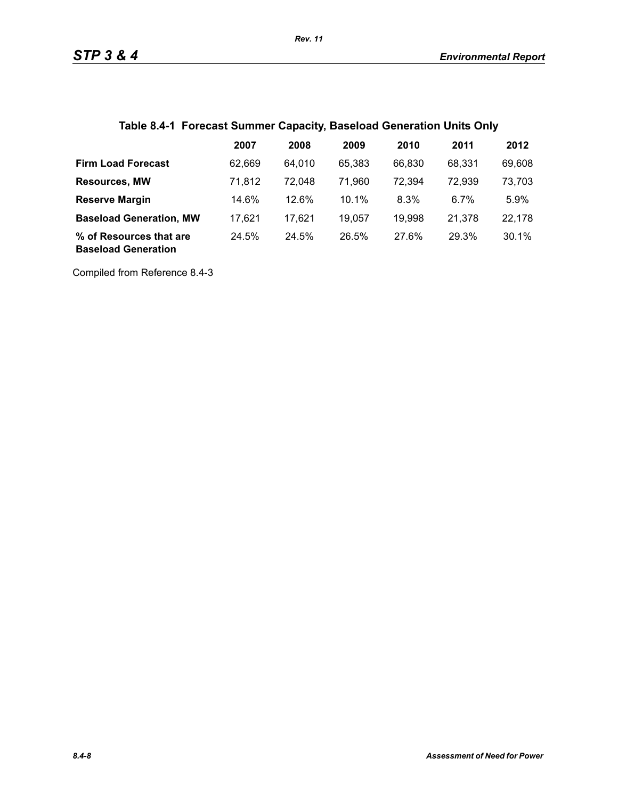| Table 8.4-1 Forecast Summer Capacity, Baseload Generation Units Only |  |
|----------------------------------------------------------------------|--|
|----------------------------------------------------------------------|--|

|                                                       | 2007   | 2008   | 2009   | 2010   | 2011   | 2012   |
|-------------------------------------------------------|--------|--------|--------|--------|--------|--------|
| <b>Firm Load Forecast</b>                             | 62.669 | 64.010 | 65.383 | 66.830 | 68.331 | 69,608 |
| <b>Resources, MW</b>                                  | 71.812 | 72.048 | 71,960 | 72,394 | 72,939 | 73,703 |
| <b>Reserve Margin</b>                                 | 14.6%  | 12.6%  | 10.1%  | 8.3%   | 6.7%   | 5.9%   |
| <b>Baseload Generation, MW</b>                        | 17.621 | 17,621 | 19.057 | 19,998 | 21.378 | 22,178 |
| % of Resources that are<br><b>Baseload Generation</b> | 24.5%  | 24.5%  | 26.5%  | 27.6%  | 29.3%  | 30.1%  |

Compiled from Reference 8.4-3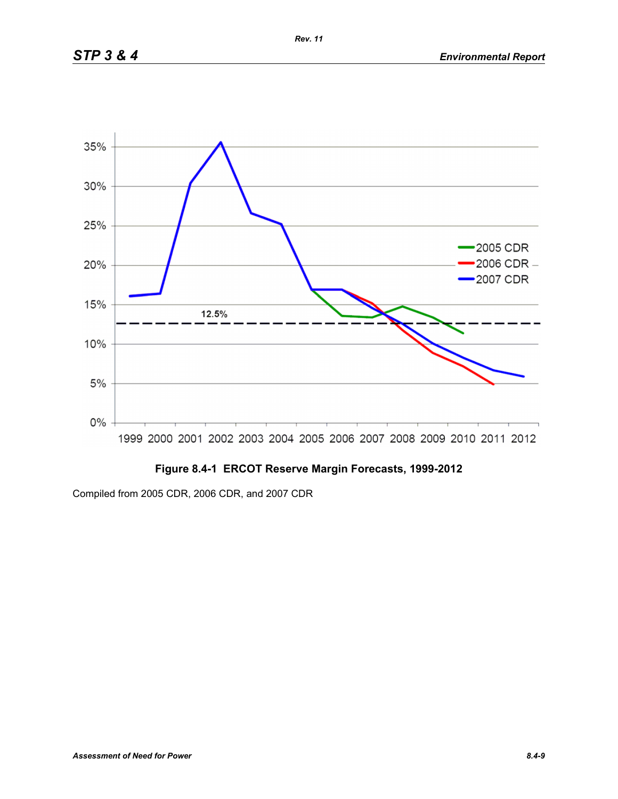

# **Figure 8.4-1 ERCOT Reserve Margin Forecasts, 1999-2012**

Compiled from 2005 CDR, 2006 CDR, and 2007 CDR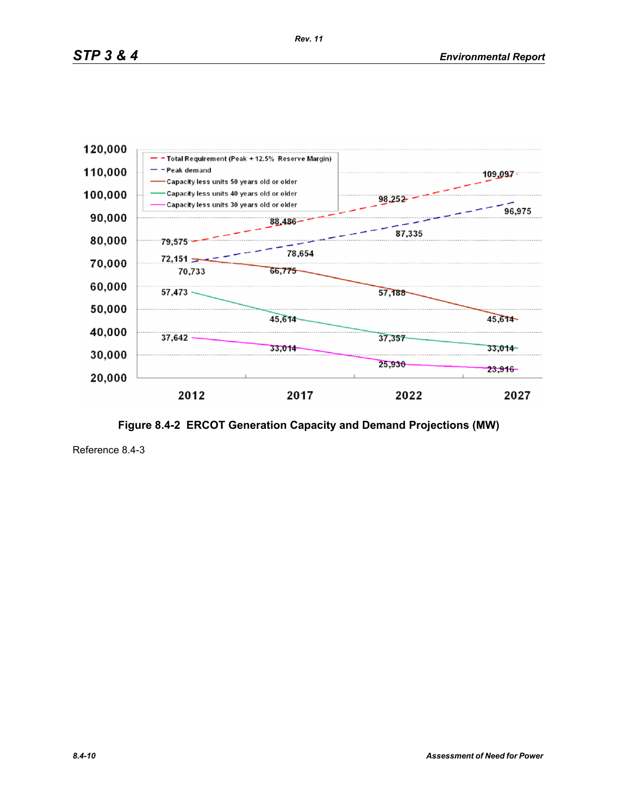

**Figure 8.4-2 ERCOT Generation Capacity and Demand Projections (MW)**

Reference 8.4-3